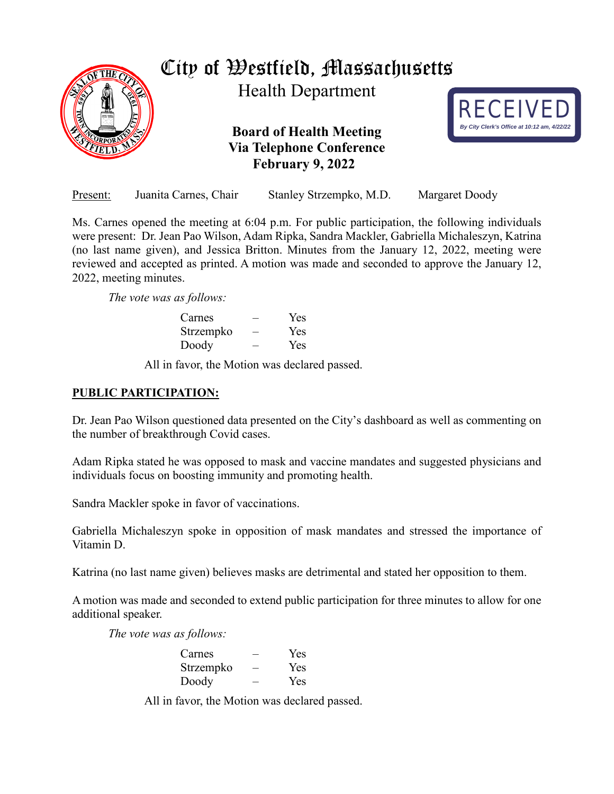

| Present: | Juanita Carnes, Chair |                         |                |
|----------|-----------------------|-------------------------|----------------|
|          |                       | Stanley Strzempko, M.D. | Margaret Doody |

Ms. Carnes opened the meeting at 6:04 p.m. For public participation, the following individuals were present: Dr. Jean Pao Wilson, Adam Ripka, Sandra Mackler, Gabriella Michaleszyn, Katrina (no last name given), and Jessica Britton. Minutes from the January 12, 2022, meeting were reviewed and accepted as printed. A motion was made and seconded to approve the January 12, 2022, meeting minutes.

*The vote was as follows:*

| Carnes    | Yes |
|-----------|-----|
| Strzempko | Yes |
| Doody     | Yes |

All in favor, the Motion was declared passed.

## **PUBLIC PARTICIPATION:**

Dr. Jean Pao Wilson questioned data presented on the City's dashboard as well as commenting on the number of breakthrough Covid cases.

Adam Ripka stated he was opposed to mask and vaccine mandates and suggested physicians and individuals focus on boosting immunity and promoting health.

Sandra Mackler spoke in favor of vaccinations.

Gabriella Michaleszyn spoke in opposition of mask mandates and stressed the importance of Vitamin D.

Katrina (no last name given) believes masks are detrimental and stated her opposition to them.

A motion was made and seconded to extend public participation for three minutes to allow for one additional speaker.

*The vote was as follows:*

| Carnes    | <b>Yes</b> |
|-----------|------------|
| Strzempko | Yes        |
| Doody     | Yes        |

All in favor, the Motion was declared passed.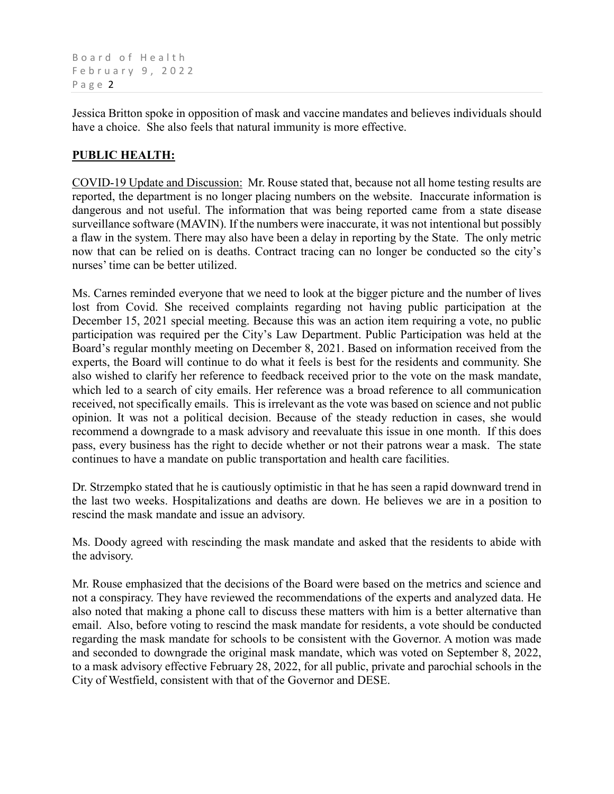Board of Health February 9, 2022 Page 2

Jessica Britton spoke in opposition of mask and vaccine mandates and believes individuals should have a choice. She also feels that natural immunity is more effective.

## **PUBLIC HEALTH:**

COVID-19 Update and Discussion: Mr. Rouse stated that, because not all home testing results are reported, the department is no longer placing numbers on the website. Inaccurate information is dangerous and not useful. The information that was being reported came from a state disease surveillance software (MAVIN). If the numbers were inaccurate, it was not intentional but possibly a flaw in the system. There may also have been a delay in reporting by the State. The only metric now that can be relied on is deaths. Contract tracing can no longer be conducted so the city's nurses' time can be better utilized.

Ms. Carnes reminded everyone that we need to look at the bigger picture and the number of lives lost from Covid. She received complaints regarding not having public participation at the December 15, 2021 special meeting. Because this was an action item requiring a vote, no public participation was required per the City's Law Department. Public Participation was held at the Board's regular monthly meeting on December 8, 2021. Based on information received from the experts, the Board will continue to do what it feels is best for the residents and community. She also wished to clarify her reference to feedback received prior to the vote on the mask mandate, which led to a search of city emails. Her reference was a broad reference to all communication received, not specifically emails. This is irrelevant as the vote was based on science and not public opinion. It was not a political decision. Because of the steady reduction in cases, she would recommend a downgrade to a mask advisory and reevaluate this issue in one month. If this does pass, every business has the right to decide whether or not their patrons wear a mask. The state continues to have a mandate on public transportation and health care facilities.

Dr. Strzempko stated that he is cautiously optimistic in that he has seen a rapid downward trend in the last two weeks. Hospitalizations and deaths are down. He believes we are in a position to rescind the mask mandate and issue an advisory.

Ms. Doody agreed with rescinding the mask mandate and asked that the residents to abide with the advisory.

Mr. Rouse emphasized that the decisions of the Board were based on the metrics and science and not a conspiracy. They have reviewed the recommendations of the experts and analyzed data. He also noted that making a phone call to discuss these matters with him is a better alternative than email. Also, before voting to rescind the mask mandate for residents, a vote should be conducted regarding the mask mandate for schools to be consistent with the Governor. A motion was made and seconded to downgrade the original mask mandate, which was voted on September 8, 2022, to a mask advisory effective February 28, 2022, for all public, private and parochial schools in the City of Westfield, consistent with that of the Governor and DESE.